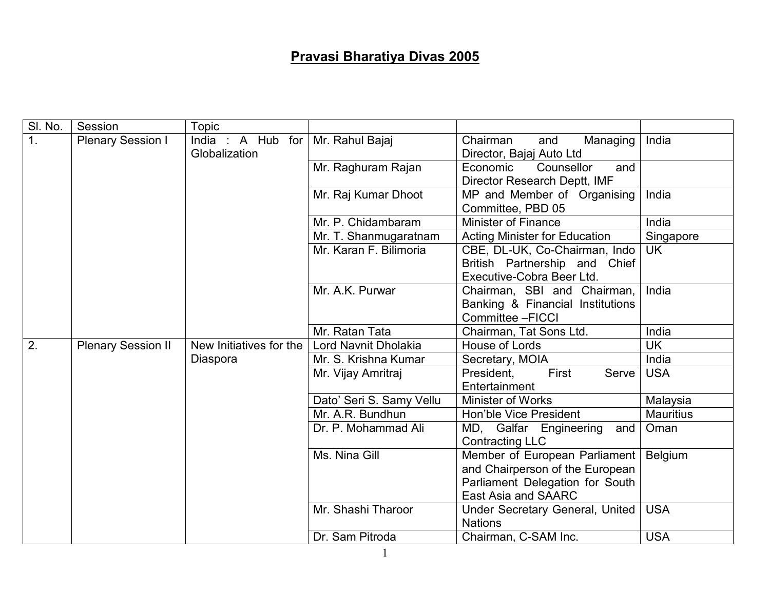## Pravasi Bharatiya Divas 2005

| SI. No. | Session                   | <b>Topic</b>                          |                          |                                                                                                                                   |                  |
|---------|---------------------------|---------------------------------------|--------------------------|-----------------------------------------------------------------------------------------------------------------------------------|------------------|
| 1.      | <b>Plenary Session I</b>  | India : A Hub<br>for<br>Globalization | Mr. Rahul Bajaj          | Chairman<br>and<br>Managing<br>Director, Bajaj Auto Ltd                                                                           | India            |
|         |                           |                                       | Mr. Raghuram Rajan       | Economic<br>Counsellor<br>and<br>Director Research Deptt, IMF                                                                     |                  |
|         |                           |                                       | Mr. Raj Kumar Dhoot      | MP and Member of Organising<br>Committee, PBD 05                                                                                  | India            |
|         |                           |                                       | Mr. P. Chidambaram       | Minister of Finance                                                                                                               | India            |
|         |                           |                                       | Mr. T. Shanmugaratnam    | <b>Acting Minister for Education</b>                                                                                              | Singapore        |
|         |                           |                                       | Mr. Karan F. Bilimoria   | CBE, DL-UK, Co-Chairman, Indo<br>British Partnership and Chief<br>Executive-Cobra Beer Ltd.                                       | <b>UK</b>        |
|         |                           |                                       | Mr. A.K. Purwar          | Chairman, SBI and Chairman,<br>Banking & Financial Institutions<br>Committee - FICCI                                              | India            |
|         |                           |                                       | Mr. Ratan Tata           | Chairman, Tat Sons Ltd.                                                                                                           | India            |
| 2.      | <b>Plenary Session II</b> | New Initiatives for the               | Lord Navnit Dholakia     | House of Lords                                                                                                                    | <b>UK</b>        |
|         |                           | Diaspora                              | Mr. S. Krishna Kumar     | Secretary, MOIA                                                                                                                   | India            |
|         |                           |                                       | Mr. Vijay Amritraj       | First<br>Serve I<br>President,<br>Entertainment                                                                                   | <b>USA</b>       |
|         |                           |                                       | Dato' Seri S. Samy Vellu | <b>Minister of Works</b>                                                                                                          | Malaysia         |
|         |                           |                                       | Mr. A.R. Bundhun         | Hon'ble Vice President                                                                                                            | <b>Mauritius</b> |
|         |                           |                                       | Dr. P. Mohammad Ali      | MD, Galfar Engineering<br>and<br><b>Contracting LLC</b>                                                                           | Oman             |
|         |                           |                                       | Ms. Nina Gill            | Member of European Parliament<br>and Chairperson of the European<br>Parliament Delegation for South<br><b>East Asia and SAARC</b> | Belgium          |
|         |                           |                                       | Mr. Shashi Tharoor       | Under Secretary General, United<br><b>Nations</b>                                                                                 | <b>USA</b>       |
|         |                           |                                       | Dr. Sam Pitroda          | Chairman, C-SAM Inc.                                                                                                              | <b>USA</b>       |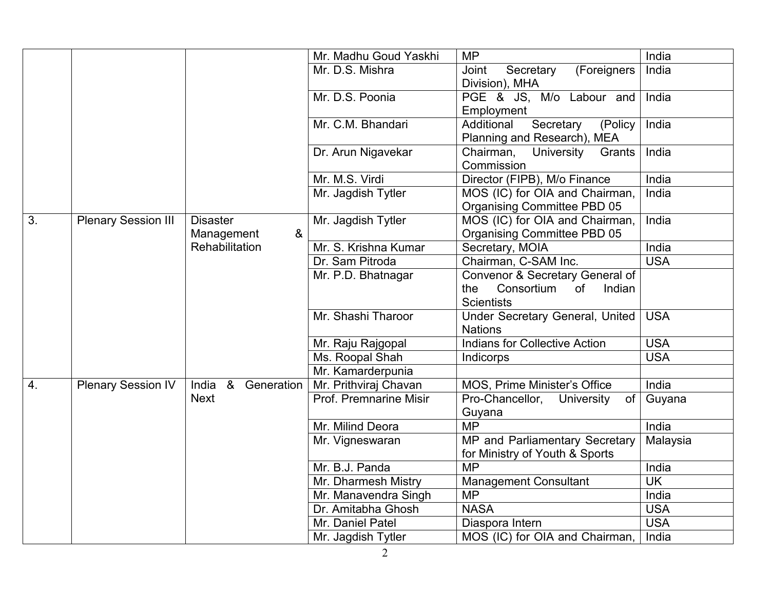|    |                            |                       | Mr. Madhu Goud Yaskhi  | <b>MP</b>                                       | India      |
|----|----------------------------|-----------------------|------------------------|-------------------------------------------------|------------|
|    |                            |                       | Mr. D.S. Mishra        | Joint<br>Secretary<br>(Foreigners               | India      |
|    |                            |                       |                        | Division), MHA                                  |            |
|    |                            |                       | Mr. D.S. Poonia        | PGE & JS, M/o Labour and                        | India      |
|    |                            |                       |                        | Employment                                      |            |
|    |                            |                       | Mr. C.M. Bhandari      | Additional<br>Secretary<br>(Policy              | India      |
|    |                            |                       |                        | Planning and Research), MEA                     |            |
|    |                            |                       | Dr. Arun Nigavekar     | Chairman,<br>University<br>Grants<br>Commission | India      |
|    |                            |                       | Mr. M.S. Virdi         | Director (FIPB), M/o Finance                    | India      |
|    |                            |                       | Mr. Jagdish Tytler     | MOS (IC) for OIA and Chairman,                  | India      |
|    |                            |                       |                        | Organising Committee PBD 05                     |            |
| 3. | <b>Plenary Session III</b> | <b>Disaster</b>       | Mr. Jagdish Tytler     | MOS (IC) for OIA and Chairman,                  | India      |
|    |                            | &<br>Management       |                        | Organising Committee PBD 05                     |            |
|    |                            | Rehabilitation        | Mr. S. Krishna Kumar   | Secretary, MOIA                                 | India      |
|    |                            |                       | Dr. Sam Pitroda        | Chairman, C-SAM Inc.                            | <b>USA</b> |
|    |                            |                       | Mr. P.D. Bhatnagar     | Convenor & Secretary General of                 |            |
|    |                            |                       |                        | Consortium<br>the<br>of<br>Indian               |            |
|    |                            |                       |                        | <b>Scientists</b>                               |            |
|    |                            |                       | Mr. Shashi Tharoor     | Under Secretary General, United                 | <b>USA</b> |
|    |                            |                       |                        | <b>Nations</b>                                  |            |
|    |                            |                       | Mr. Raju Rajgopal      | <b>Indians for Collective Action</b>            | <b>USA</b> |
|    |                            |                       | Ms. Roopal Shah        | Indicorps                                       | <b>USA</b> |
|    |                            |                       | Mr. Kamarderpunia      |                                                 |            |
| 4. | <b>Plenary Session IV</b>  | India &<br>Generation | Mr. Prithviraj Chavan  | MOS, Prime Minister's Office                    | India      |
|    |                            | <b>Next</b>           | Prof. Premnarine Misir | Pro-Chancellor,<br>University<br><b>of</b>      | Guyana     |
|    |                            |                       |                        | Guyana                                          |            |
|    |                            |                       | Mr. Milind Deora       | <b>MP</b>                                       | India      |
|    |                            |                       | Mr. Vigneswaran        | MP and Parliamentary Secretary                  | Malaysia   |
|    |                            |                       |                        | for Ministry of Youth & Sports                  |            |
|    |                            |                       | Mr. B.J. Panda         | <b>MP</b>                                       | India      |
|    |                            |                       | Mr. Dharmesh Mistry    | <b>Management Consultant</b>                    | <b>UK</b>  |
|    |                            |                       | Mr. Manavendra Singh   | <b>MP</b>                                       | India      |
|    |                            |                       | Dr. Amitabha Ghosh     | <b>NASA</b>                                     | <b>USA</b> |
|    |                            |                       | Mr. Daniel Patel       | Diaspora Intern                                 | <b>USA</b> |
|    |                            |                       | Mr. Jagdish Tytler     | MOS (IC) for OIA and Chairman,                  | India      |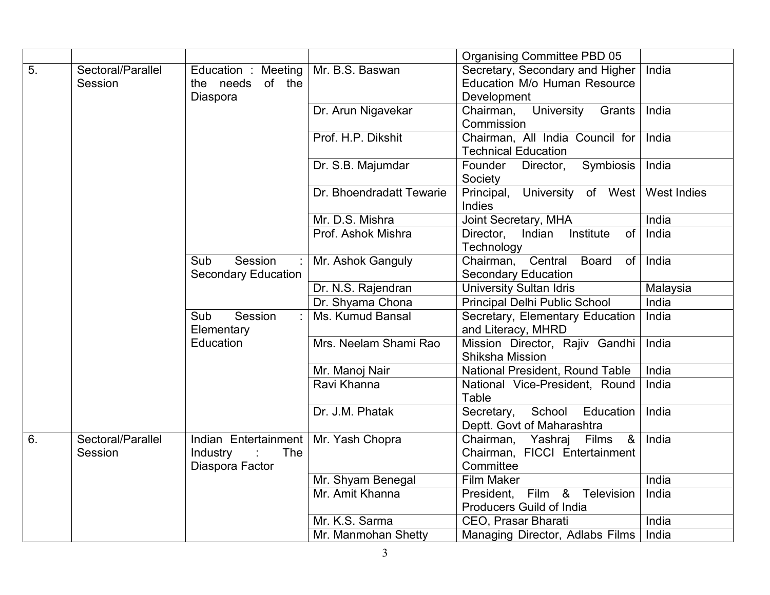|    |                              |                                                                 |                          | Organising Committee PBD 05                                                        |             |
|----|------------------------------|-----------------------------------------------------------------|--------------------------|------------------------------------------------------------------------------------|-------------|
| 5. | Sectoral/Parallel<br>Session | Education : Meeting<br>the needs of the                         | Mr. B.S. Baswan          | Secretary, Secondary and Higher<br>Education M/o Human Resource                    | India       |
|    |                              | Diaspora                                                        |                          | Development                                                                        |             |
|    |                              |                                                                 | Dr. Arun Nigavekar       | Chairman,<br>University<br>Grants<br>Commission                                    | India       |
|    |                              |                                                                 | Prof. H.P. Dikshit       | Chairman, All India Council for<br><b>Technical Education</b>                      | India       |
|    |                              |                                                                 | Dr. S.B. Majumdar        | Symbiosis<br>Founder<br>Director,<br>Society                                       | India       |
|    |                              |                                                                 | Dr. Bhoendradatt Tewarie | University of West<br>Principal,<br>Indies                                         | West Indies |
|    |                              |                                                                 | Mr. D.S. Mishra          | Joint Secretary, MHA                                                               | India       |
|    |                              |                                                                 | Prof. Ashok Mishra       | Indian<br>Institute<br><b>of</b><br>Director,<br>Technology                        | India       |
|    |                              | Session<br>Sub<br><b>Secondary Education</b>                    | Mr. Ashok Ganguly        | Chairman, Central<br><b>Board</b><br>of <sub>1</sub><br><b>Secondary Education</b> | India       |
|    |                              |                                                                 | Dr. N.S. Rajendran       | <b>University Sultan Idris</b>                                                     | Malaysia    |
|    |                              |                                                                 | Dr. Shyama Chona         | Principal Delhi Public School                                                      | India       |
|    |                              | Session<br>Sub<br>Elementary<br>Education                       | Ms. Kumud Bansal         | Secretary, Elementary Education<br>and Literacy, MHRD                              | India       |
|    |                              |                                                                 | Mrs. Neelam Shami Rao    | Mission Director, Rajiv Gandhi<br>Shiksha Mission                                  | India       |
|    |                              |                                                                 | Mr. Manoj Nair           | National President, Round Table                                                    | India       |
|    |                              |                                                                 | Ravi Khanna              | National Vice-President, Round<br>Table                                            | India       |
|    |                              |                                                                 | Dr. J.M. Phatak          | School<br>Secretary,<br>Education<br>Deptt. Govt of Maharashtra                    | India       |
| 6. | Sectoral/Parallel<br>Session | Indian Entertainment<br>Industry<br>The<br>÷<br>Diaspora Factor | Mr. Yash Chopra          | Chairman, Yashraj<br>Films &<br>Chairman, FICCI Entertainment<br>Committee         | India       |
|    |                              |                                                                 | Mr. Shyam Benegal        | Film Maker                                                                         | India       |
|    |                              |                                                                 | Mr. Amit Khanna          | President, Film & Television                                                       | India       |
|    |                              |                                                                 |                          | Producers Guild of India                                                           |             |
|    |                              |                                                                 | Mr. K.S. Sarma           | CEO, Prasar Bharati                                                                | India       |
|    |                              |                                                                 | Mr. Manmohan Shetty      | Managing Director, Adlabs Films                                                    | India       |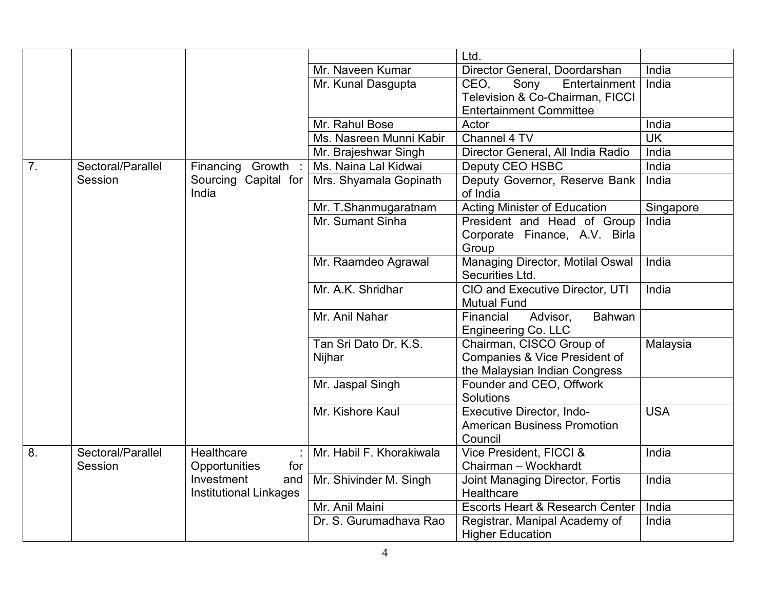|    |                   |                                                    |                                 | Ltd.                                                                                       |                          |
|----|-------------------|----------------------------------------------------|---------------------------------|--------------------------------------------------------------------------------------------|--------------------------|
|    |                   |                                                    | Mr. Naveen Kumar                | Director General, Doordarshan                                                              | India                    |
|    |                   |                                                    | Mr. Kunal Dasgupta              | Sony<br>Entertainment<br>CEO.                                                              | India                    |
|    |                   |                                                    |                                 | Television & Co-Chairman, FICCI                                                            |                          |
|    |                   |                                                    |                                 | <b>Entertainment Committee</b>                                                             |                          |
|    |                   |                                                    | Mr. Rahul Bose                  | Actor                                                                                      | India                    |
|    |                   |                                                    | Ms. Nasreen Munni Kabir         | Channel 4 TV                                                                               | $\overline{\mathsf{UK}}$ |
|    |                   |                                                    | Mr. Brajeshwar Singh            | Director General, All India Radio                                                          | India                    |
| 7. | Sectoral/Parallel | Financing Growth                                   | Ms. Naina Lal Kidwai            | Deputy CEO HSBC                                                                            | India                    |
|    | Session           | Sourcing Capital for<br>India                      | Mrs. Shyamala Gopinath          | Deputy Governor, Reserve Bank<br>of India                                                  | India                    |
|    |                   |                                                    | Mr. T.Shanmugaratnam            | <b>Acting Minister of Education</b>                                                        | Singapore                |
|    |                   |                                                    | Mr. Sumant Sinha                | President and Head of Group<br>Corporate Finance, A.V. Birla<br>Group                      | India                    |
|    |                   |                                                    | Mr. Raamdeo Agrawal             | Managing Director, Motilal Oswal<br>Securities Ltd.                                        | India                    |
|    |                   |                                                    | Mr. A.K. Shridhar               | CIO and Executive Director, UTI<br><b>Mutual Fund</b>                                      | India                    |
|    |                   |                                                    | Mr. Anil Nahar                  | Bahwan<br>Financial<br>Advisor,<br>Engineering Co. LLC                                     |                          |
|    |                   |                                                    | Tan Sri Dato Dr. K.S.<br>Nijhar | Chairman, CISCO Group of<br>Companies & Vice President of<br>the Malaysian Indian Congress | Malaysia                 |
|    |                   |                                                    | Mr. Jaspal Singh                | Founder and CEO, Offwork<br>Solutions                                                      |                          |
|    |                   |                                                    | Mr. Kishore Kaul                | Executive Director, Indo-<br><b>American Business Promotion</b><br>Council                 | <b>USA</b>               |
| 8. | Sectoral/Parallel | Healthcare                                         | Mr. Habil F. Khorakiwala        | Vice President, FICCI &                                                                    | India                    |
|    | Session           | Opportunities<br>for                               |                                 | Chairman - Wockhardt                                                                       |                          |
|    |                   | Investment<br>and<br><b>Institutional Linkages</b> | Mr. Shivinder M. Singh          | Joint Managing Director, Fortis<br>Healthcare                                              | India                    |
|    |                   |                                                    | Mr. Anil Maini                  | <b>Escorts Heart &amp; Research Center</b>                                                 | India                    |
|    |                   |                                                    | Dr. S. Gurumadhava Rao          | Registrar, Manipal Academy of<br><b>Higher Education</b>                                   | India                    |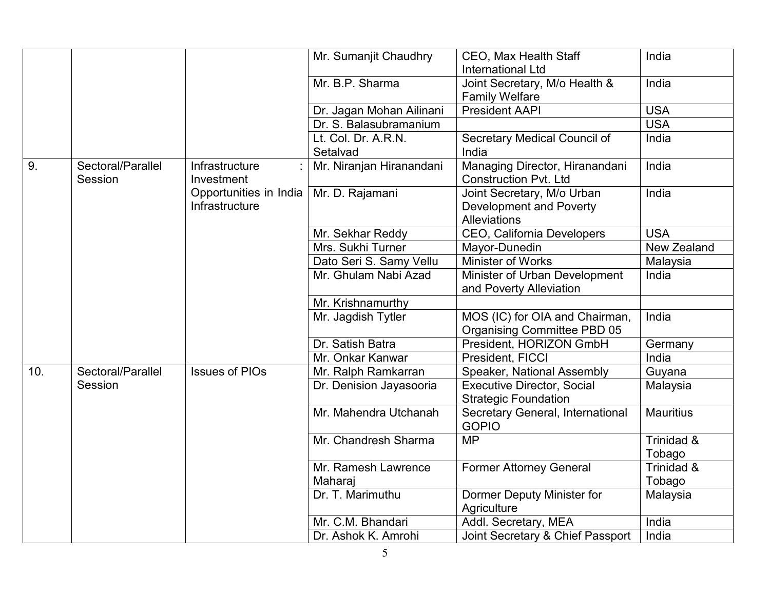|     |                              |                                          | Mr. Sumanjit Chaudhry          | CEO, Max Health Staff<br><b>International Ltd</b>                            | India                |
|-----|------------------------------|------------------------------------------|--------------------------------|------------------------------------------------------------------------------|----------------------|
|     |                              |                                          | Mr. B.P. Sharma                | Joint Secretary, M/o Health &                                                | India                |
|     |                              |                                          |                                | <b>Family Welfare</b>                                                        |                      |
|     |                              |                                          | Dr. Jagan Mohan Ailinani       | <b>President AAPI</b>                                                        | <b>USA</b>           |
|     |                              |                                          | Dr. S. Balasubramanium         |                                                                              | <b>USA</b>           |
|     |                              |                                          | Lt. Col. Dr. A.R.N.            | Secretary Medical Council of                                                 | India                |
|     |                              |                                          | Setalvad                       | India                                                                        |                      |
| 9.  | Sectoral/Parallel<br>Session | Infrastructure<br>Investment             | Mr. Niranjan Hiranandani       | Managing Director, Hiranandani<br><b>Construction Pvt. Ltd</b>               | India                |
|     |                              | Opportunities in India<br>Infrastructure | Mr. D. Rajamani                | Joint Secretary, M/o Urban<br>Development and Poverty<br><b>Alleviations</b> | India                |
|     |                              |                                          | Mr. Sekhar Reddy               | CEO, California Developers                                                   | <b>USA</b>           |
|     |                              |                                          | Mrs. Sukhi Turner              | Mayor-Dunedin                                                                | New Zealand          |
|     |                              |                                          | Dato Seri S. Samy Vellu        | Minister of Works                                                            | Malaysia             |
|     |                              |                                          | Mr. Ghulam Nabi Azad           | Minister of Urban Development<br>and Poverty Alleviation                     | India                |
|     |                              |                                          | Mr. Krishnamurthy              |                                                                              |                      |
|     |                              |                                          | Mr. Jagdish Tytler             | MOS (IC) for OIA and Chairman,<br><b>Organising Committee PBD 05</b>         | India                |
|     |                              |                                          | Dr. Satish Batra               | President, HORIZON GmbH                                                      | Germany              |
|     |                              |                                          | Mr. Onkar Kanwar               | President, FICCI                                                             | India                |
| 10. | Sectoral/Parallel            | <b>Issues of PIOs</b>                    | Mr. Ralph Ramkarran            | Speaker, National Assembly                                                   | Guyana               |
|     | Session                      |                                          | Dr. Denision Jayasooria        | <b>Executive Director, Social</b>                                            | Malaysia             |
|     |                              |                                          |                                | <b>Strategic Foundation</b>                                                  |                      |
|     |                              |                                          | Mr. Mahendra Utchanah          | Secretary General, International<br><b>GOPIO</b>                             | <b>Mauritius</b>     |
|     |                              |                                          | Mr. Chandresh Sharma           | <b>MP</b>                                                                    | Trinidad &<br>Tobago |
|     |                              |                                          | Mr. Ramesh Lawrence<br>Maharaj | <b>Former Attorney General</b>                                               | Trinidad &<br>Tobago |
|     |                              |                                          | Dr. T. Marimuthu               | Dormer Deputy Minister for<br>Agriculture                                    | Malaysia             |
|     |                              |                                          | Mr. C.M. Bhandari              | Addl. Secretary, MEA                                                         | India                |
|     |                              |                                          | Dr. Ashok K. Amrohi            | Joint Secretary & Chief Passport                                             | India                |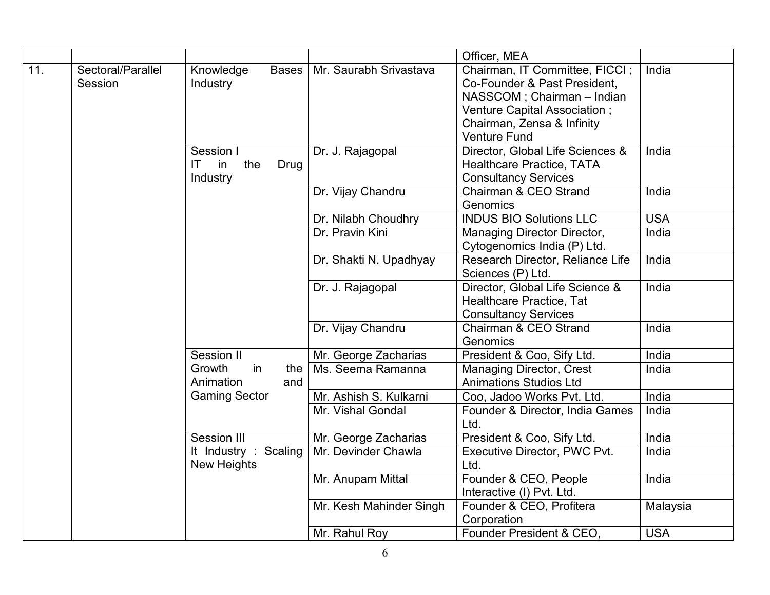|     |                              |                                                                      |                         | Officer, MEA                                                                                                                                                                      |            |
|-----|------------------------------|----------------------------------------------------------------------|-------------------------|-----------------------------------------------------------------------------------------------------------------------------------------------------------------------------------|------------|
| 11. | Sectoral/Parallel<br>Session | Knowledge<br>Bases  <br>Industry                                     | Mr. Saurabh Srivastava  | Chairman, IT Committee, FICCI;<br>Co-Founder & Past President.<br>NASSCOM; Chairman - Indian<br>Venture Capital Association;<br>Chairman, Zensa & Infinity<br><b>Venture Fund</b> | India      |
|     |                              | Session I<br>$\mathsf{I}\mathsf{T}$<br>in<br>Drug<br>the<br>Industry | Dr. J. Rajagopal        | Director, Global Life Sciences &<br>Healthcare Practice, TATA<br><b>Consultancy Services</b>                                                                                      | India      |
|     |                              |                                                                      | Dr. Vijay Chandru       | Chairman & CEO Strand<br>Genomics                                                                                                                                                 | India      |
|     |                              |                                                                      | Dr. Nilabh Choudhry     | <b>INDUS BIO Solutions LLC</b>                                                                                                                                                    | <b>USA</b> |
|     |                              |                                                                      | Dr. Pravin Kini         | Managing Director Director,<br>Cytogenomics India (P) Ltd.                                                                                                                        | India      |
|     |                              |                                                                      | Dr. Shakti N. Upadhyay  | Research Director, Reliance Life<br>Sciences (P) Ltd.                                                                                                                             | India      |
|     |                              |                                                                      | Dr. J. Rajagopal        | Director, Global Life Science &<br>Healthcare Practice, Tat<br><b>Consultancy Services</b>                                                                                        | India      |
|     |                              |                                                                      | Dr. Vijay Chandru       | Chairman & CEO Strand<br>Genomics                                                                                                                                                 | India      |
|     |                              | Session II                                                           | Mr. George Zacharias    | President & Coo, Sify Ltd.                                                                                                                                                        | India      |
|     |                              | Growth<br>in<br>the<br>Animation<br>and                              | Ms. Seema Ramanna       | <b>Managing Director, Crest</b><br><b>Animations Studios Ltd</b>                                                                                                                  | India      |
|     |                              | <b>Gaming Sector</b>                                                 | Mr. Ashish S. Kulkarni  | Coo, Jadoo Works Pvt. Ltd.                                                                                                                                                        | India      |
|     |                              |                                                                      | Mr. Vishal Gondal       | Founder & Director, India Games<br>Ltd.                                                                                                                                           | India      |
|     |                              | Session III                                                          | Mr. George Zacharias    | President & Coo, Sify Ltd.                                                                                                                                                        | India      |
|     |                              | It Industry : Scaling<br><b>New Heights</b>                          | Mr. Devinder Chawla     | Executive Director, PWC Pvt.<br>Ltd.                                                                                                                                              | India      |
|     |                              |                                                                      | Mr. Anupam Mittal       | Founder & CEO, People<br>Interactive (I) Pvt. Ltd.                                                                                                                                | India      |
|     |                              |                                                                      | Mr. Kesh Mahinder Singh | Founder & CEO, Profitera<br>Corporation                                                                                                                                           | Malaysia   |
|     |                              |                                                                      | Mr. Rahul Roy           | Founder President & CEO.                                                                                                                                                          | <b>USA</b> |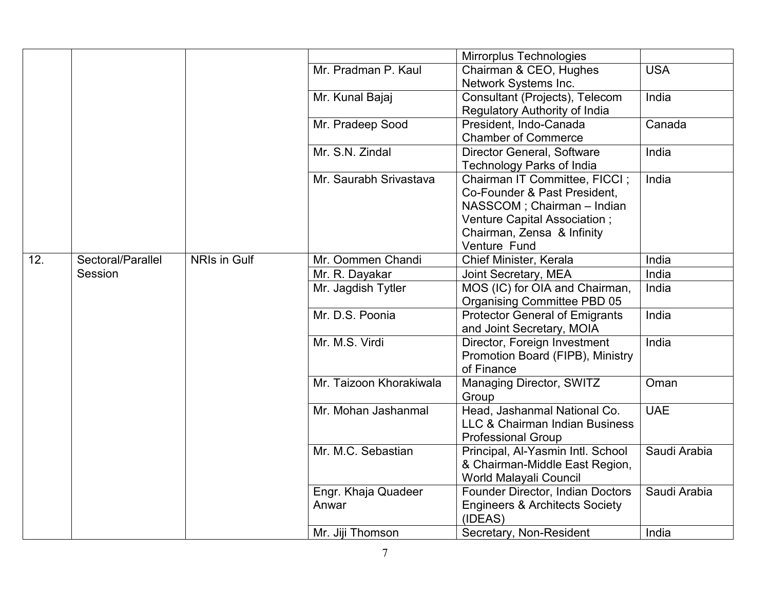|     |                   |              |                              | Mirrorplus Technologies                                                                                                                                                   |              |
|-----|-------------------|--------------|------------------------------|---------------------------------------------------------------------------------------------------------------------------------------------------------------------------|--------------|
|     |                   |              | Mr. Pradman P. Kaul          | Chairman & CEO, Hughes<br>Network Systems Inc.                                                                                                                            | <b>USA</b>   |
|     |                   |              | Mr. Kunal Bajaj              | Consultant (Projects), Telecom<br>Regulatory Authority of India                                                                                                           | India        |
|     |                   |              | Mr. Pradeep Sood             | President, Indo-Canada<br><b>Chamber of Commerce</b>                                                                                                                      | Canada       |
|     |                   |              | Mr. S.N. Zindal              | Director General, Software<br><b>Technology Parks of India</b>                                                                                                            | India        |
|     |                   |              | Mr. Saurabh Srivastava       | Chairman IT Committee, FICCI;<br>Co-Founder & Past President,<br>NASSCOM; Chairman - Indian<br>Venture Capital Association;<br>Chairman, Zensa & Infinity<br>Venture Fund | India        |
| 12. | Sectoral/Parallel | NRIs in Gulf | Mr. Oommen Chandi            | Chief Minister, Kerala                                                                                                                                                    | India        |
|     | Session           |              | Mr. R. Dayakar               | Joint Secretary, MEA                                                                                                                                                      | India        |
|     |                   |              | Mr. Jagdish Tytler           | MOS (IC) for OIA and Chairman,<br>Organising Committee PBD 05                                                                                                             | India        |
|     |                   |              | Mr. D.S. Poonia              | <b>Protector General of Emigrants</b><br>and Joint Secretary, MOIA                                                                                                        | India        |
|     |                   |              | Mr. M.S. Virdi               | Director, Foreign Investment<br>Promotion Board (FIPB), Ministry<br>of Finance                                                                                            | India        |
|     |                   |              | Mr. Taizoon Khorakiwala      | Managing Director, SWITZ<br>Group                                                                                                                                         | Oman         |
|     |                   |              | Mr. Mohan Jashanmal          | Head, Jashanmal National Co.<br><b>LLC &amp; Chairman Indian Business</b><br><b>Professional Group</b>                                                                    | <b>UAE</b>   |
|     |                   |              | Mr. M.C. Sebastian           | Principal, Al-Yasmin Intl. School<br>& Chairman-Middle East Region,<br>World Malayali Council                                                                             | Saudi Arabia |
|     |                   |              | Engr. Khaja Quadeer<br>Anwar | Founder Director, Indian Doctors<br><b>Engineers &amp; Architects Society</b><br>(IDEAS)                                                                                  | Saudi Arabia |
|     |                   |              | Mr. Jiji Thomson             | Secretary, Non-Resident                                                                                                                                                   | India        |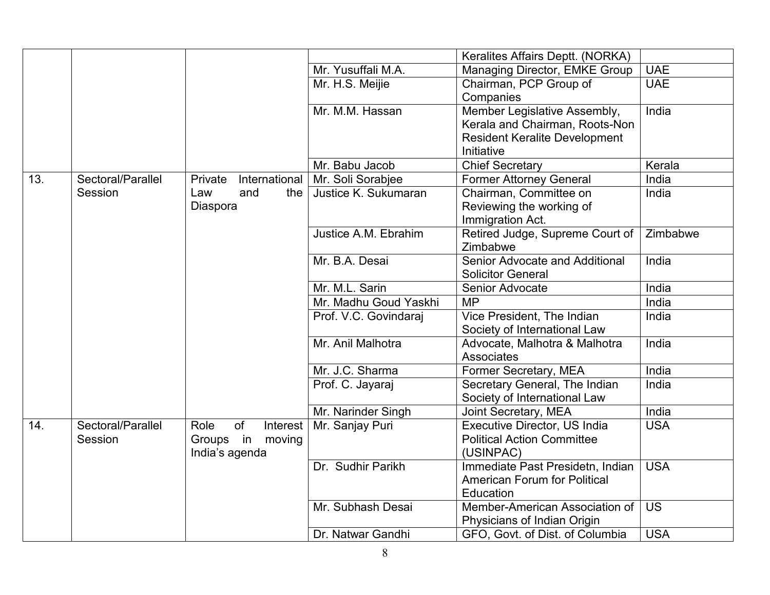|     |                   |                          |                       | Keralites Affairs Deptt. (NORKA)     |            |
|-----|-------------------|--------------------------|-----------------------|--------------------------------------|------------|
|     |                   |                          | Mr. Yusuffali M.A.    | Managing Director, EMKE Group        | <b>UAE</b> |
|     |                   |                          | Mr. H.S. Meijie       | Chairman, PCP Group of               | <b>UAE</b> |
|     |                   |                          |                       | Companies                            |            |
|     |                   |                          | Mr. M.M. Hassan       | Member Legislative Assembly,         | India      |
|     |                   |                          |                       | Kerala and Chairman, Roots-Non       |            |
|     |                   |                          |                       | <b>Resident Keralite Development</b> |            |
|     |                   |                          |                       | Initiative                           |            |
|     |                   |                          | Mr. Babu Jacob        | Chief Secretary                      | Kerala     |
| 13. | Sectoral/Parallel | International<br>Private | Mr. Soli Sorabjee     | <b>Former Attorney General</b>       | India      |
|     | Session           | Law<br>and<br>the        | Justice K. Sukumaran  | Chairman, Committee on               | India      |
|     |                   | Diaspora                 |                       | Reviewing the working of             |            |
|     |                   |                          |                       | Immigration Act.                     |            |
|     |                   |                          | Justice A.M. Ebrahim  | Retired Judge, Supreme Court of      | Zimbabwe   |
|     |                   |                          |                       | Zimbabwe                             |            |
|     |                   |                          | Mr. B.A. Desai        | Senior Advocate and Additional       | India      |
|     |                   |                          |                       | <b>Solicitor General</b>             |            |
|     |                   |                          | Mr. M.L. Sarin        | Senior Advocate                      | India      |
|     |                   |                          | Mr. Madhu Goud Yaskhi | <b>MP</b>                            | India      |
|     |                   |                          | Prof. V.C. Govindaraj | Vice President, The Indian           | India      |
|     |                   |                          |                       | Society of International Law         |            |
|     |                   |                          | Mr. Anil Malhotra     | Advocate, Malhotra & Malhotra        | India      |
|     |                   |                          |                       | <b>Associates</b>                    |            |
|     |                   |                          | Mr. J.C. Sharma       | Former Secretary, MEA                | India      |
|     |                   |                          | Prof. C. Jayaraj      | Secretary General, The Indian        | India      |
|     |                   |                          |                       | Society of International Law         |            |
|     |                   |                          | Mr. Narinder Singh    | Joint Secretary, MEA                 | India      |
| 14. | Sectoral/Parallel | Role<br>of<br>Interest   | Mr. Sanjay Puri       | Executive Director, US India         | <b>USA</b> |
|     | Session           | Groups in moving         |                       | <b>Political Action Committee</b>    |            |
|     |                   | India's agenda           |                       | (USINPAC)                            |            |
|     |                   |                          | Dr. Sudhir Parikh     | Immediate Past Presidetn, Indian     | <b>USA</b> |
|     |                   |                          |                       | <b>American Forum for Political</b>  |            |
|     |                   |                          |                       | Education                            |            |
|     |                   |                          | Mr. Subhash Desai     | Member-American Association of       | <b>US</b>  |
|     |                   |                          |                       | Physicians of Indian Origin          |            |
|     |                   |                          | Dr. Natwar Gandhi     | GFO, Govt. of Dist. of Columbia      | <b>USA</b> |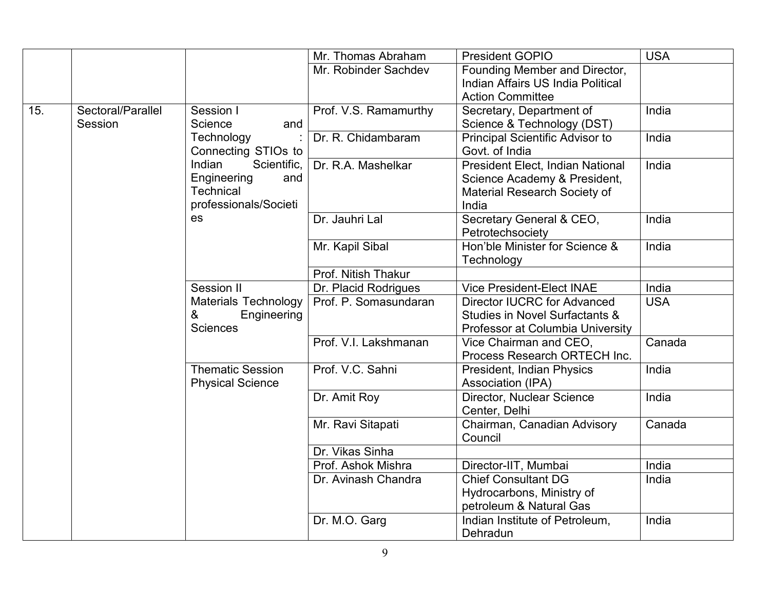|     |                   |                             | Mr. Thomas Abraham    | <b>President GOPIO</b>                 | <b>USA</b> |
|-----|-------------------|-----------------------------|-----------------------|----------------------------------------|------------|
|     |                   |                             | Mr. Robinder Sachdev  | Founding Member and Director,          |            |
|     |                   |                             |                       | Indian Affairs US India Political      |            |
|     |                   |                             |                       | <b>Action Committee</b>                |            |
| 15. | Sectoral/Parallel | Session I                   | Prof. V.S. Ramamurthy | Secretary, Department of               | India      |
|     | Session           | Science<br>and              |                       | Science & Technology (DST)             |            |
|     |                   | Technology                  | Dr. R. Chidambaram    | <b>Principal Scientific Advisor to</b> | India      |
|     |                   | Connecting STIOs to         |                       | Govt. of India                         |            |
|     |                   | Indian<br>Scientific,       | Dr. R.A. Mashelkar    | President Elect, Indian National       | India      |
|     |                   | Engineering<br>and          |                       | Science Academy & President,           |            |
|     |                   | Technical                   |                       | Material Research Society of           |            |
|     |                   | professionals/Societi       |                       | India                                  |            |
|     |                   | es                          | Dr. Jauhri Lal        | Secretary General & CEO,               | India      |
|     |                   |                             |                       | Petrotechsociety                       |            |
|     |                   |                             | Mr. Kapil Sibal       | Hon'ble Minister for Science &         | India      |
|     |                   |                             |                       | Technology                             |            |
|     |                   |                             | Prof. Nitish Thakur   |                                        |            |
|     |                   | Session II                  | Dr. Placid Rodrigues  | <b>Vice President-Elect INAE</b>       | India      |
|     |                   | <b>Materials Technology</b> | Prof. P. Somasundaran | <b>Director IUCRC for Advanced</b>     | <b>USA</b> |
|     |                   | &<br>Engineering            |                       | Studies in Novel Surfactants &         |            |
|     |                   | Sciences                    |                       | Professor at Columbia University       |            |
|     |                   |                             | Prof. V.I. Lakshmanan | Vice Chairman and CEO,                 | Canada     |
|     |                   |                             |                       | Process Research ORTECH Inc.           |            |
|     |                   | <b>Thematic Session</b>     | Prof. V.C. Sahni      | President, Indian Physics              | India      |
|     |                   | <b>Physical Science</b>     |                       | Association (IPA)                      |            |
|     |                   |                             | Dr. Amit Roy          | Director, Nuclear Science              | India      |
|     |                   |                             |                       | Center, Delhi                          |            |
|     |                   |                             | Mr. Ravi Sitapati     | Chairman, Canadian Advisory            | Canada     |
|     |                   |                             |                       | Council                                |            |
|     |                   |                             | Dr. Vikas Sinha       |                                        |            |
|     |                   |                             | Prof. Ashok Mishra    | Director-IIT, Mumbai                   | India      |
|     |                   |                             | Dr. Avinash Chandra   | <b>Chief Consultant DG</b>             | India      |
|     |                   |                             |                       | Hydrocarbons, Ministry of              |            |
|     |                   |                             |                       | petroleum & Natural Gas                |            |
|     |                   |                             | Dr. M.O. Garg         | Indian Institute of Petroleum,         | India      |
|     |                   |                             |                       | Dehradun                               |            |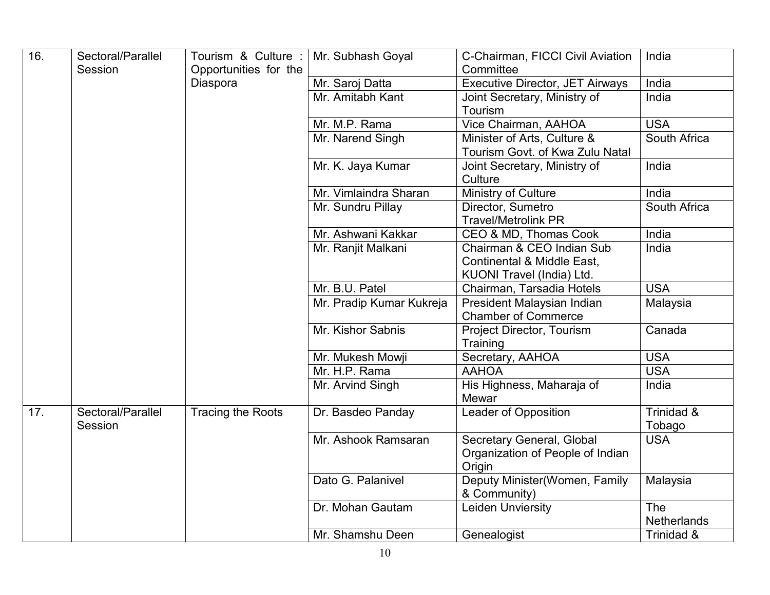| 16. | Sectoral/Parallel<br>Session | Tourism & Culture:   Mr. Subhash Goyal<br>Opportunities for the |                          | C-Chairman, FICCI Civil Aviation<br>Committee                           | India                            |
|-----|------------------------------|-----------------------------------------------------------------|--------------------------|-------------------------------------------------------------------------|----------------------------------|
|     |                              | Diaspora                                                        | Mr. Saroj Datta          | Executive Director, JET Airways                                         | India                            |
|     |                              |                                                                 | Mr. Amitabh Kant         | Joint Secretary, Ministry of<br>Tourism                                 | India                            |
|     |                              |                                                                 | Mr. M.P. Rama            | Vice Chairman, AAHOA                                                    | <b>USA</b>                       |
|     |                              |                                                                 | Mr. Narend Singh         | Minister of Arts, Culture &<br>Tourism Govt. of Kwa Zulu Natal          | South Africa                     |
|     |                              |                                                                 | Mr. K. Jaya Kumar        | Joint Secretary, Ministry of<br>Culture                                 | India                            |
|     |                              |                                                                 | Mr. Vimlaindra Sharan    | Ministry of Culture                                                     | India                            |
|     |                              |                                                                 | Mr. Sundru Pillay        | Director, Sumetro<br><b>Travel/Metrolink PR</b>                         | South Africa                     |
|     |                              |                                                                 | Mr. Ashwani Kakkar       | CEO & MD, Thomas Cook                                                   | India                            |
|     |                              |                                                                 | Mr. Ranjit Malkani       | Chairman & CEO Indian Sub<br>Continental & Middle East,                 | India                            |
|     |                              |                                                                 |                          | KUONI Travel (India) Ltd.                                               |                                  |
|     |                              |                                                                 | Mr. B.U. Patel           | Chairman, Tarsadia Hotels                                               | <b>USA</b>                       |
|     |                              |                                                                 | Mr. Pradip Kumar Kukreja | President Malaysian Indian<br><b>Chamber of Commerce</b>                | Malaysia                         |
|     |                              |                                                                 | Mr. Kishor Sabnis        | Project Director, Tourism<br>Training                                   | Canada                           |
|     |                              |                                                                 | Mr. Mukesh Mowji         | Secretary, AAHOA                                                        | <b>USA</b>                       |
|     |                              |                                                                 | Mr. H.P. Rama            | <b>AAHOA</b>                                                            | <b>USA</b>                       |
|     |                              |                                                                 | Mr. Arvind Singh         | His Highness, Maharaja of<br>Mewar                                      | India                            |
| 17. | Sectoral/Parallel<br>Session | <b>Tracing the Roots</b>                                        | Dr. Basdeo Panday        | <b>Leader of Opposition</b>                                             | Trinidad &<br>Tobago             |
|     |                              |                                                                 | Mr. Ashook Ramsaran      | Secretary General, Global<br>Organization of People of Indian<br>Origin | <b>USA</b>                       |
|     |                              |                                                                 | Dato G. Palanivel        | Deputy Minister(Women, Family<br>& Community)                           | Malaysia                         |
|     |                              |                                                                 | Dr. Mohan Gautam         | Leiden Unviersity                                                       | <b>The</b><br><b>Netherlands</b> |
|     |                              |                                                                 | Mr. Shamshu Deen         | Genealogist                                                             | Trinidad &                       |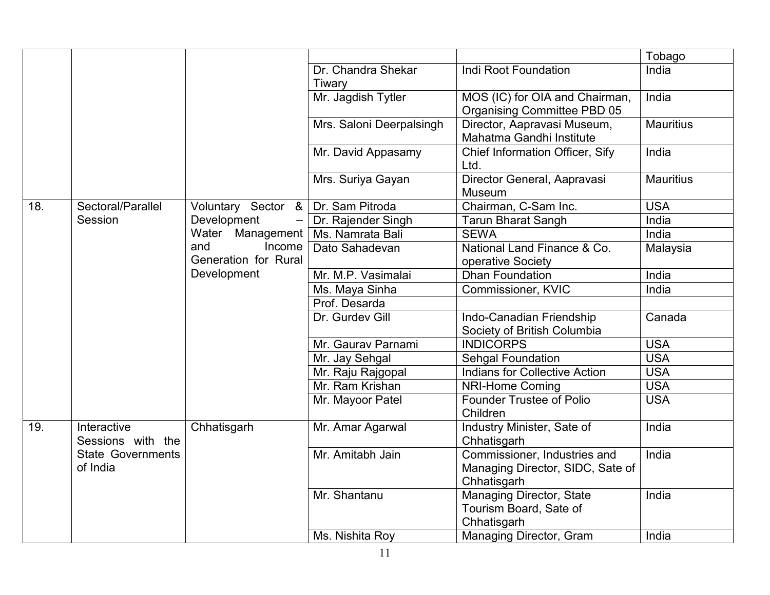|     |                                      |                      |                              |                                                                                 | Tobago           |
|-----|--------------------------------------|----------------------|------------------------------|---------------------------------------------------------------------------------|------------------|
|     |                                      |                      | Dr. Chandra Shekar<br>Tiwary | Indi Root Foundation                                                            | India            |
|     |                                      |                      | Mr. Jagdish Tytler           | MOS (IC) for OIA and Chairman,<br>Organising Committee PBD 05                   | India            |
|     |                                      |                      | Mrs. Saloni Deerpalsingh     | Director, Aapravasi Museum,<br>Mahatma Gandhi Institute                         | <b>Mauritius</b> |
|     |                                      |                      | Mr. David Appasamy           | Chief Information Officer, Sify<br>Ltd.                                         | India            |
|     |                                      |                      | Mrs. Suriya Gayan            | Director General, Aapravasi<br>Museum                                           | <b>Mauritius</b> |
| 18. | Sectoral/Parallel                    | Voluntary Sector &   | Dr. Sam Pitroda              | Chairman, C-Sam Inc.                                                            | <b>USA</b>       |
|     | Session                              | Development          | Dr. Rajender Singh           | <b>Tarun Bharat Sangh</b>                                                       | India            |
|     |                                      | Water Management     | Ms. Namrata Bali             | <b>SEWA</b>                                                                     | India            |
|     |                                      | and<br>Income        | Dato Sahadevan               | National Land Finance & Co.                                                     | Malaysia         |
|     |                                      | Generation for Rural |                              | operative Society                                                               |                  |
|     |                                      | Development          | Mr. M.P. Vasimalai           | Dhan Foundation                                                                 | India            |
|     |                                      |                      | Ms. Maya Sinha               | Commissioner, KVIC                                                              | India            |
|     |                                      |                      | Prof. Desarda                |                                                                                 |                  |
|     |                                      |                      | Dr. Gurdev Gill              | Indo-Canadian Friendship<br>Society of British Columbia                         | Canada           |
|     |                                      |                      | Mr. Gaurav Parnami           | <b>INDICORPS</b>                                                                | <b>USA</b>       |
|     |                                      |                      | Mr. Jay Sehgal               | Sehgal Foundation                                                               | <b>USA</b>       |
|     |                                      |                      | Mr. Raju Rajgopal            | <b>Indians for Collective Action</b>                                            | <b>USA</b>       |
|     |                                      |                      | Mr. Ram Krishan              | <b>NRI-Home Coming</b>                                                          | <b>USA</b>       |
|     |                                      |                      | Mr. Mayoor Patel             | <b>Founder Trustee of Polio</b><br>Children                                     | <b>USA</b>       |
| 19. | Interactive<br>Sessions with the     | Chhatisgarh          | Mr. Amar Agarwal             | Industry Minister, Sate of<br>Chhatisgarh                                       | India            |
|     | <b>State Governments</b><br>of India |                      | Mr. Amitabh Jain             | Commissioner, Industries and<br>Managing Director, SIDC, Sate of<br>Chhatisgarh | India            |
|     |                                      |                      | Mr. Shantanu                 | <b>Managing Director, State</b><br>Tourism Board, Sate of<br>Chhatisgarh        | India            |
|     |                                      |                      | Ms. Nishita Roy              | Managing Director, Gram                                                         | India            |